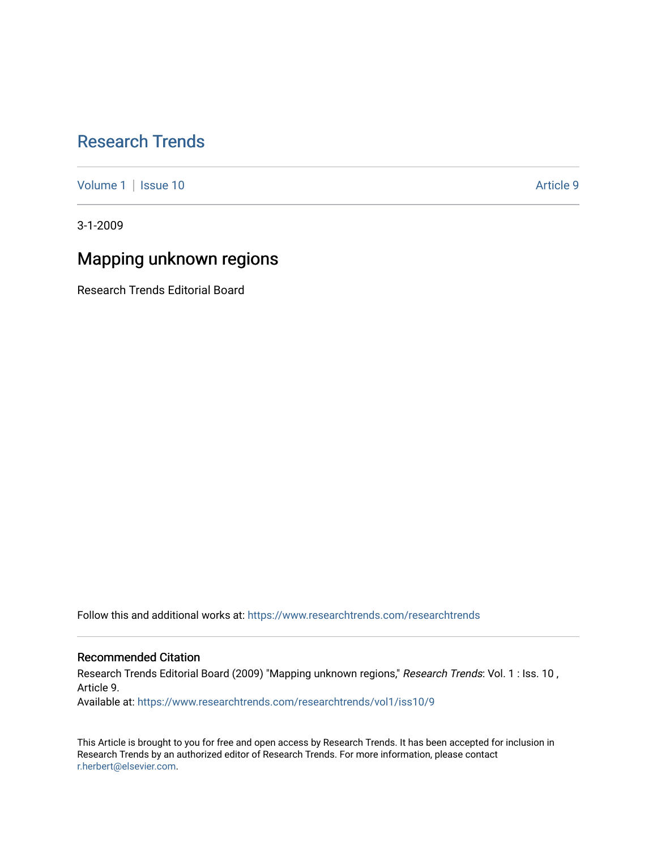# [Research Trends](https://www.researchtrends.com/researchtrends)

[Volume 1](https://www.researchtrends.com/researchtrends/vol1) | [Issue 10](https://www.researchtrends.com/researchtrends/vol1/iss10) Article 9

3-1-2009

# Mapping unknown regions

Research Trends Editorial Board

Follow this and additional works at: [https://www.researchtrends.com/researchtrends](https://www.researchtrends.com/researchtrends?utm_source=www.researchtrends.com%2Fresearchtrends%2Fvol1%2Fiss10%2F9&utm_medium=PDF&utm_campaign=PDFCoverPages) 

## Recommended Citation

Research Trends Editorial Board (2009) "Mapping unknown regions," Research Trends: Vol. 1 : Iss. 10, Article 9.

Available at: [https://www.researchtrends.com/researchtrends/vol1/iss10/9](https://www.researchtrends.com/researchtrends/vol1/iss10/9?utm_source=www.researchtrends.com%2Fresearchtrends%2Fvol1%2Fiss10%2F9&utm_medium=PDF&utm_campaign=PDFCoverPages)

This Article is brought to you for free and open access by Research Trends. It has been accepted for inclusion in Research Trends by an authorized editor of Research Trends. For more information, please contact [r.herbert@elsevier.com.](mailto:r.herbert@elsevier.com)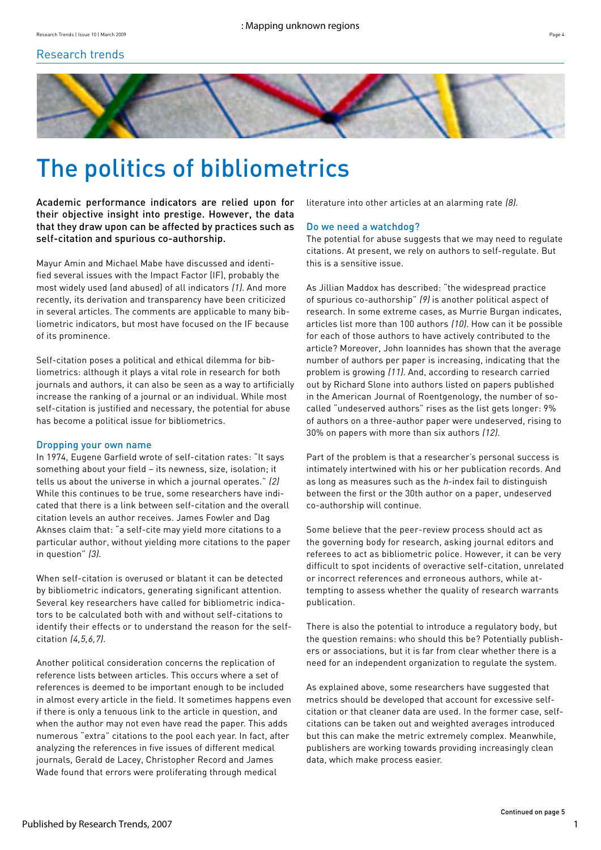# Research trends



# The politics of bibliometrics

Academic performance indicators are relied upon for their objective insight into prestige. However, the data that they draw upon can be affected by practices such as self-citation and spurious co-authorship.

Mayur Amin and Michael Mabe have discussed and identified several issues with the Impact Factor (IF), probably the most widely used (and abused) of all indicators (1). And more recently, its derivation and transparency have been criticized in several articles. The comments are applicable to many bibliometric indicators, but most have focused on the IF because of its prominence.

Self-citation poses a political and ethical dilemma for bibliometrics: although it plays a vital role in research for both journals and authors, it can also be seen as a way to artificially increase the ranking of a journal or an individual. While most self-citation is justified and necessary, the potential for abuse has become a political issue for bibliometrics.

## Dropping your own name

In 1974, Eugene Garfield wrote of self-citation rates: "It says something about your field – its newness, size, isolation; it tells us about the universe in which a journal operates." (2) While this continues to be true, some researchers have indicated that there is a link between self-citation and the overall citation levels an author receives. James Fowler and Dag Aknses claim that: "a self-cite may yield more citations to a particular author, without yielding more citations to the paper in question" (3).

When self-citation is overused or blatant it can be detected by bibliometric indicators, generating significant attention. Several key researchers have called for bibliometric indicators to be calculated both with and without self-citations to identify their effects or to understand the reason for the selfcitation (4,5,6,7).

Another political consideration concerns the replication of reference lists between articles. This occurs where a set of references is deemed to be important enough to be included in almost every article in the field. It sometimes happens even if there is only a tenuous link to the article in question, and when the author may not even have read the paper. This adds numerous "extra" citations to the pool each year. In fact, after analyzing the references in five issues of different medical journals, Gerald de Lacey, Christopher Record and James Wade found that errors were proliferating through medical

literature into other articles at an alarming rate (8).

## Do we need a watchdog?

The potential for abuse suggests that we may need to regulate citations. At present, we rely on authors to self-regulate. But this is a sensitive issue.

As Jillian Maddox has described: "the widespread practice of spurious co-authorship" (9) is another political aspect of research. In some extreme cases, as Murrie Burgan indicates, articles list more than 100 authors (10). How can it be possible for each of those authors to have actively contributed to the article? Moreover, John Ioannides has shown that the average number of authors per paper is increasing, indicating that the problem is growing (11). And, according to research carried out by Richard Slone into authors listed on papers published in the American Journal of Roentgenology, the number of socalled "undeserved authors" rises as the list gets longer: 9% of authors on a three-author paper were undeserved, rising to 30% on papers with more than six authors (12).

Part of the problem is that a researcher's personal success is intimately intertwined with his or her publication records. And as long as measures such as the  $h$ -index fail to distinguish between the first or the 30th author on a paper, undeserved co-authorship will continue.

Some believe that the peer-review process should act as the governing body for research, asking journal editors and referees to act as bibliometric police. However, it can be very difficult to spot incidents of overactive self-citation, unrelated or incorrect references and erroneous authors, while attempting to assess whether the quality of research warrants publication.

There is also the potential to introduce a regulatory body, but the question remains: who should this be? Potentially publishers or associations, but it is far from clear whether there is a need for an independent organization to regulate the system.

As explained above, some researchers have suggested that metrics should be developed that account for excessive selfcitation or that cleaner data are used. In the former case, selfcitations can be taken out and weighted averages introduced but this can make the metric extremely complex. Meanwhile, publishers are working towards providing increasingly clean data, which make process easier.